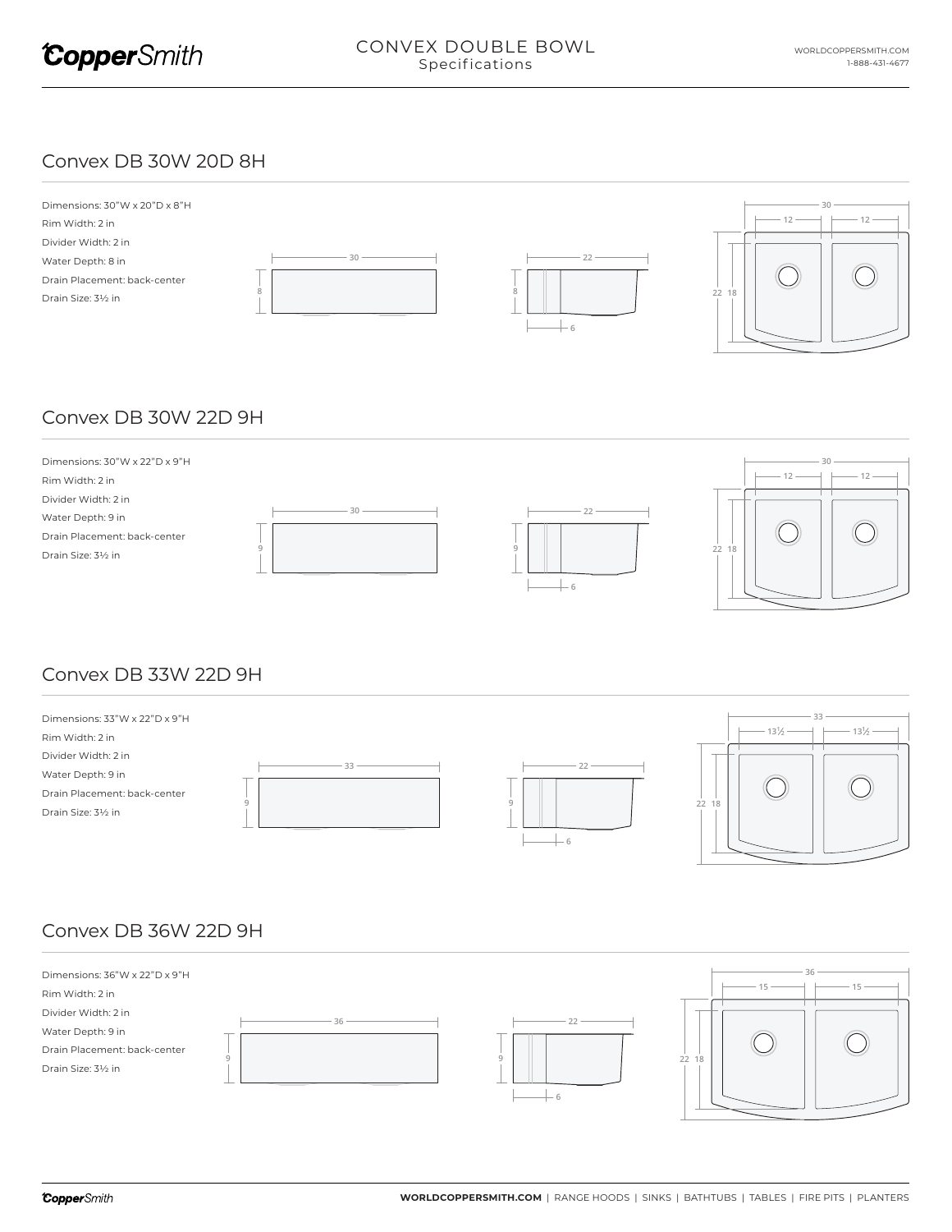

#### Convex DB 30W 20D 8H



# Convex DB 30W 22D 9H



## Convex DB 33W 22D 9H



## Convex DB 36W 22D 9H